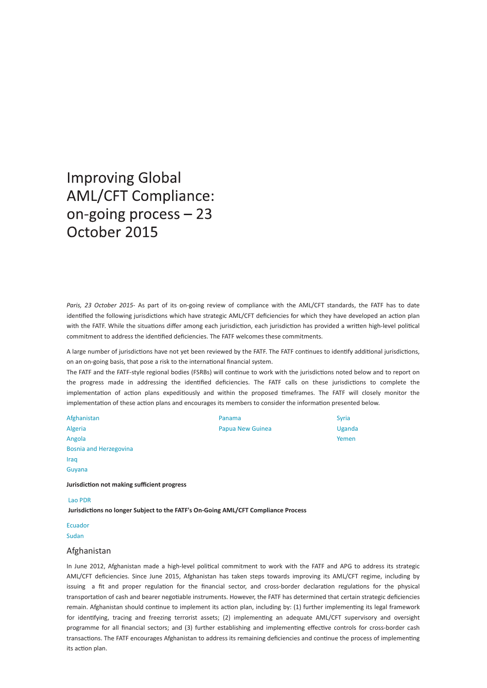# **Improving Global AML/CFT Compliance:** on-going process - 23 October 2015

Paris, 23 October 2015- As part of its on-going review of compliance with the AML/CFT standards, the FATF has to date identified the following jurisdictions which have strategic AML/CFT deficiencies for which they have developed an action plan with the FATF. While the situations differ among each jurisdiction, each jurisdiction has provided a written high-level political commitment to address the identified deficiencies. The FATF welcomes these commitments.

A large number of jurisdictions have not yet been reviewed by the FATF. The FATF continues to identify additional jurisdictions, on an on-going basis, that pose a risk to the international financial system.

The FATF and the FATF-style regional bodies (FSRBs) will continue to work with the jurisdictions noted below and to report on the progress made in addressing the identified deficiencies. The FATF calls on these jurisdictions to complete the implementation of action plans expeditiously and within the proposed timeframes. The FATF will closely monitor the implementation of these action plans and encourages its members to consider the information presented below.

| Afghanistan                   | Panama                  | <b>Syria</b> |
|-------------------------------|-------------------------|--------------|
| Algeria                       | <b>Papua New Guinea</b> | Uganda       |
| Angola                        |                         | Yemen        |
| <b>Bosnia and Herzegovina</b> |                         |              |
| Iraq                          |                         |              |

Guyana

**JurisdicƟon not making suĸcient progress**

#### Lao PDR

**JurisdicƟons no longer Subject to the FATF's OnͲGoing AML/CFT Compliance Process**

# Ecuador

Sudan

### Afghanistan

In June 2012, Afghanistan made a high-level political commitment to work with the FATF and APG to address its strategic AML/CFT deficiencies. Since June 2015, Afghanistan has taken steps towards improving its AML/CFT regime, including by issuing a fit and proper regulation for the financial sector, and cross-border declaration regulations for the physical transportation of cash and bearer negotiable instruments. However, the FATF has determined that certain strategic deficiencies remain. Afghanistan should continue to implement its action plan, including by: (1) further implementing its legal framework for identifying, tracing and freezing terrorist assets; (2) implementing an adequate AML/CFT supervisory and oversight programme for all financial sectors; and (3) further establishing and implementing effective controls for cross-border cash transactions. The FATF encourages Afghanistan to address its remaining deficiencies and continue the process of implementing its action plan.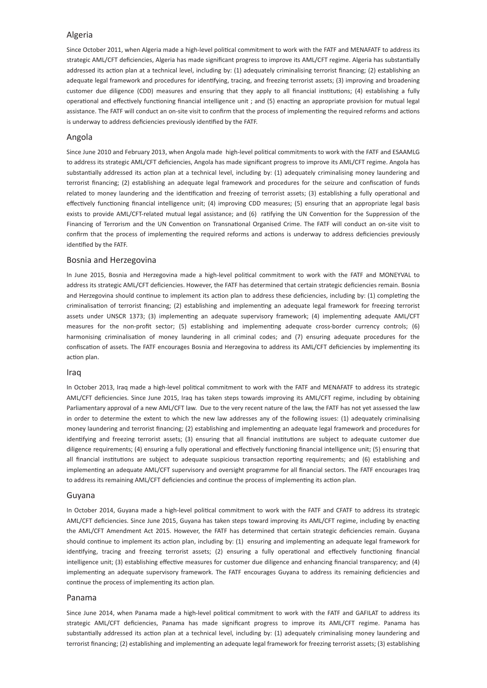### Algeria

Since October 2011, when Algeria made a high-level political commitment to work with the FATF and MENAFATF to address its strategic AML/CFT deficiencies, Algeria has made significant progress to improve its AML/CFT regime. Algeria has substantially addressed its action plan at a technical level, including by: (1) adequately criminalising terrorist financing; (2) establishing an adequate legal framework and procedures for identifying, tracing, and freezing terrorist assets; (3) improving and broadening customer due diligence (CDD) measures and ensuring that they apply to all financial institutions; (4) establishing a fully operational and effectively functioning financial intelligence unit ; and (5) enacting an appropriate provision for mutual legal assistance. The FATF will conduct an on-site visit to confirm that the process of implementing the required reforms and actions is underway to address deficiencies previously identified by the FATF.

#### Angola

Since June 2010 and February 2013, when Angola made high-level political commitments to work with the FATF and ESAAMLG to address its strategic AML/CFT deficiencies, Angola has made significant progress to improve its AML/CFT regime. Angola has substantially addressed its action plan at a technical level, including by: (1) adequately criminalising money laundering and terrorist financing; (2) establishing an adequate legal framework and procedures for the seizure and confiscation of funds related to money laundering and the identification and freezing of terrorist assets; (3) establishing a fully operational and effectively functioning financial intelligence unit; (4) improving CDD measures; (5) ensuring that an appropriate legal basis exists to provide AML/CFT-related mutual legal assistance; and (6) ratifying the UN Convention for the Suppression of the Financing of Terrorism and the UN Convention on Transnational Organised Crime. The FATF will conduct an on-site visit to confirm that the process of implementing the required reforms and actions is underway to address deficiencies previously identified by the FATF.

#### Bosnia and Herzegovina

In June 2015, Bosnia and Herzegovina made a high-level political commitment to work with the FATF and MONEYVAL to address its strategic AML/CFT deficiencies. However, the FATF has determined that certain strategic deficiencies remain. Bosnia and Herzegovina should continue to implement its action plan to address these deficiencies, including by: (1) completing the criminalisation of terrorist financing; (2) establishing and implementing an adequate legal framework for freezing terrorist assets under UNSCR 1373; (3) implementing an adequate supervisory framework; (4) implementing adequate AML/CFT measures for the non-profit sector; (5) establishing and implementing adequate cross-border currency controls; (6) harmonising criminalisation of money laundering in all criminal codes; and (7) ensuring adequate procedures for the confiscation of assets. The FATF encourages Bosnia and Herzegovina to address its AML/CFT deficiencies by implementing its action plan.

#### Iraq

In October 2013, Iraq made a high-level political commitment to work with the FATF and MENAFATF to address its strategic AML/CFT deficiencies. Since June 2015, Iraq has taken steps towards improving its AML/CFT regime, including by obtaining Parliamentary approval of a new AML/CFT law. Due to the very recent nature of the law, the FATF has not yet assessed the law in order to determine the extent to which the new law addresses any of the following issues: (1) adequately criminalising money laundering and terrorist financing; (2) establishing and implementing an adequate legal framework and procedures for identifying and freezing terrorist assets; (3) ensuring that all financial institutions are subject to adequate customer due diligence requirements; (4) ensuring a fully operational and effectively functioning financial intelligence unit; (5) ensuring that all financial institutions are subject to adequate suspicious transaction reporting requirements; and (6) establishing and implementing an adequate AML/CFT supervisory and oversight programme for all financial sectors. The FATF encourages Iraq to address its remaining AML/CFT deficiencies and continue the process of implementing its action plan.

#### Guyana

In October 2014, Guyana made a high-level political commitment to work with the FATF and CFATF to address its strategic AML/CFT deficiencies. Since June 2015, Guyana has taken steps toward improving its AML/CFT regime, including by enacting the AML/CFT Amendment Act 2015. However, the FATF has determined that certain strategic deficiencies remain. Guyana should continue to implement its action plan, including by: (1) ensuring and implementing an adequate legal framework for identifying, tracing and freezing terrorist assets; (2) ensuring a fully operational and effectively functioning financial intelligence unit; (3) establishing effective measures for customer due diligence and enhancing financial transparency; and (4) implementing an adequate supervisory framework. The FATF encourages Guyana to address its remaining deficiencies and continue the process of implementing its action plan.

#### Panama

Since June 2014, when Panama made a high-level political commitment to work with the FATF and GAFILAT to address its strategic AML/CFT deficiencies, Panama has made significant progress to improve its AML/CFT regime. Panama has substantially addressed its action plan at a technical level, including by: (1) adequately criminalising money laundering and terrorist financing; (2) establishing and implementing an adequate legal framework for freezing terrorist assets; (3) establishing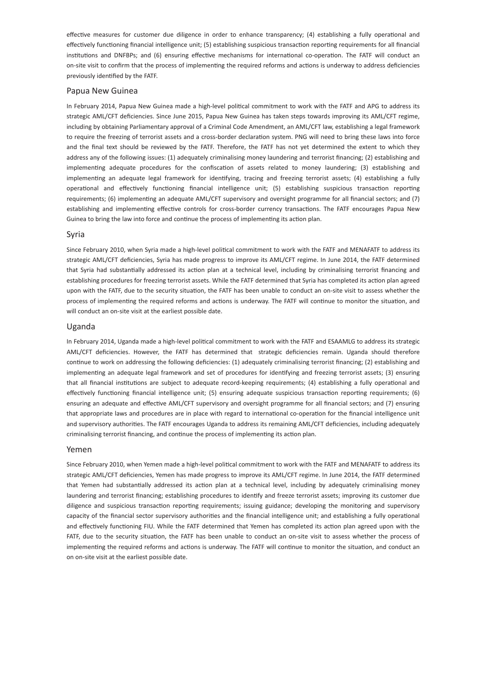effective measures for customer due diligence in order to enhance transparency; (4) establishing a fully operational and effectively functioning financial intelligence unit; (5) establishing suspicious transaction reporting requirements for all financial institutions and DNFBPs; and (6) ensuring effective mechanisms for international co-operation. The FATF will conduct an on-site visit to confirm that the process of implementing the required reforms and actions is underway to address deficiencies previously identified by the FATF.

#### Papua New Guinea

In February 2014, Papua New Guinea made a high-level political commitment to work with the FATF and APG to address its strategic AML/CFT deficiencies. Since June 2015, Papua New Guinea has taken steps towards improving its AML/CFT regime, including by obtaining Parliamentary approval of a Criminal Code Amendment, an AML/CFT law, establishing a legal framework to require the freezing of terrorist assets and a cross-border declaration system. PNG will need to bring these laws into force and the final text should be reviewed by the FATF. Therefore, the FATF has not yet determined the extent to which they address any of the following issues: (1) adequately criminalising money laundering and terrorist financing; (2) establishing and implementing adequate procedures for the confiscation of assets related to money laundering; (3) establishing and implementing an adequate legal framework for identifying, tracing and freezing terrorist assets; (4) establishing a fully operational and effectively functioning financial intelligence unit; (5) establishing suspicious transaction reporting requirements; (6) implementing an adequate AML/CFT supervisory and oversight programme for all financial sectors; and (7) establishing and implementing effective controls for cross-border currency transactions. The FATF encourages Papua New Guinea to bring the law into force and continue the process of implementing its action plan.

#### Syria

Since February 2010, when Syria made a high-level political commitment to work with the FATF and MENAFATF to address its strategic AML/CFT deficiencies, Syria has made progress to improve its AML/CFT regime. In June 2014, the FATF determined that Syria had substantially addressed its action plan at a technical level, including by criminalising terrorist financing and establishing procedures for freezing terrorist assets. While the FATF determined that Syria has completed its action plan agreed upon with the FATF, due to the security situation, the FATF has been unable to conduct an on-site visit to assess whether the process of implementing the required reforms and actions is underway. The FATF will continue to monitor the situation, and will conduct an on-site visit at the earliest possible date.

#### Uganda

In February 2014, Uganda made a high-level political commitment to work with the FATF and ESAAMLG to address its strategic AML/CFT deficiencies. However, the FATF has determined that strategic deficiencies remain. Uganda should therefore continue to work on addressing the following deficiencies: (1) adequately criminalising terrorist financing; (2) establishing and implementing an adequate legal framework and set of procedures for identifying and freezing terrorist assets; (3) ensuring that all financial institutions are subject to adequate record-keeping requirements; (4) establishing a fully operational and effectively functioning financial intelligence unit; (5) ensuring adequate suspicious transaction reporting requirements; (6) ensuring an adequate and effective AML/CFT supervisory and oversight programme for all financial sectors; and (7) ensuring that appropriate laws and procedures are in place with regard to international co-operation for the financial intelligence unit and supervisory authorities. The FATF encourages Uganda to address its remaining AML/CFT deficiencies, including adequately criminalising terrorist financing, and continue the process of implementing its action plan.

#### Yemen

Since February 2010, when Yemen made a high-level political commitment to work with the FATF and MENAFATF to address its strategic AML/CFT deficiencies, Yemen has made progress to improve its AML/CFT regime. In June 2014, the FATF determined that Yemen had substantially addressed its action plan at a technical level, including by adequately criminalising money laundering and terrorist financing; establishing procedures to identify and freeze terrorist assets; improving its customer due diligence and suspicious transaction reporting requirements; issuing guidance; developing the monitoring and supervisory capacity of the financial sector supervisory authorities and the financial intelligence unit; and establishing a fully operational and effectively functioning FIU. While the FATF determined that Yemen has completed its action plan agreed upon with the FATF, due to the security situation, the FATF has been unable to conduct an on-site visit to assess whether the process of implementing the required reforms and actions is underway. The FATF will continue to monitor the situation, and conduct an on on-site visit at the earliest possible date.